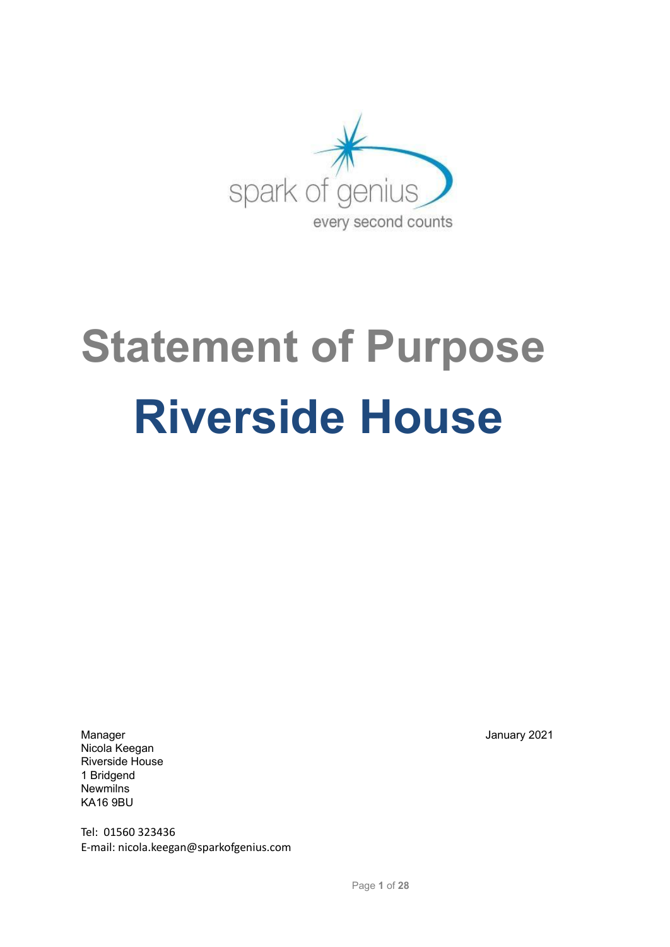

# **Statement of Purpose Riverside House**

Manager January 2021 Nicola Keegan Riverside House 1 Bridgend **Newmilns** KA16 9BU

Tel: 01560 323436 E-mail: nicola.keegan@sparkofgenius.com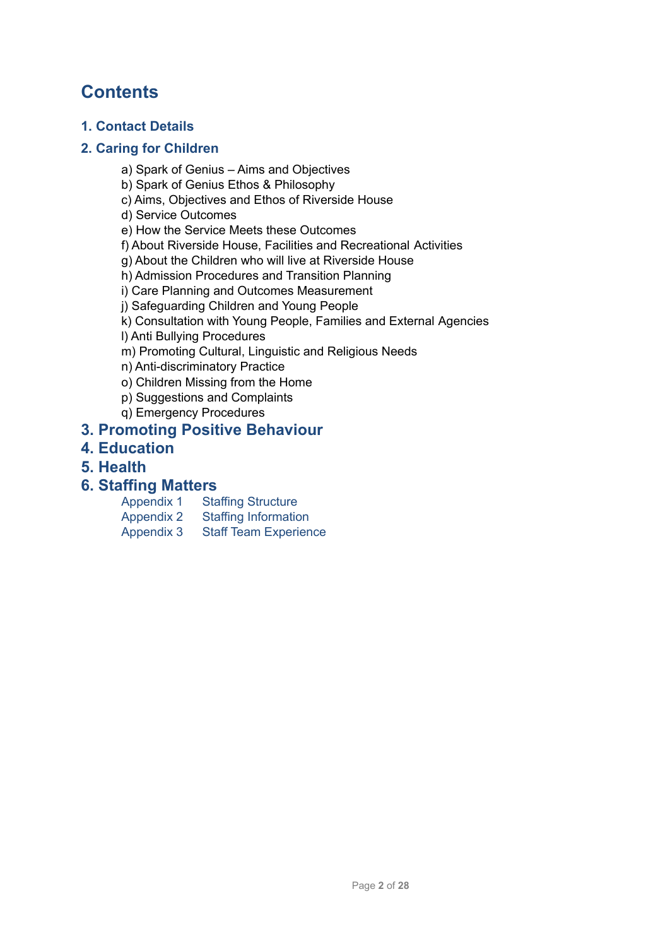# **Contents**

# **1. Contact Details**

# **2. Caring for Children**

- a) Spark of Genius Aims and Objectives
- b) Spark of Genius Ethos & Philosophy
- c) Aims, Objectives and Ethos of Riverside House

d) Service Outcomes

e) How the Service Meets these Outcomes

- f) About Riverside House, Facilities and Recreational Activities
- g) About the Children who will live at Riverside House
- h) Admission Procedures and Transition Planning
- i) Care Planning and Outcomes Measurement
- j) Safeguarding Children and Young People
- k) Consultation with Young People, Families and External Agencies

l) Anti Bullying Procedures

- m) Promoting Cultural, Linguistic and Religious Needs
- n) Anti-discriminatory Practice
- o) Children Missing from the Home
- p) Suggestions and Complaints
- q) Emergency Procedures

# **3. Promoting Positive Behaviour**

- **4. Education**
- **5. Health**

# **6. Staffing Matters**

- Appendix 1 Staffing Structure Appendix 2 Staffing Information
- Appendix 3 Staff Team Experience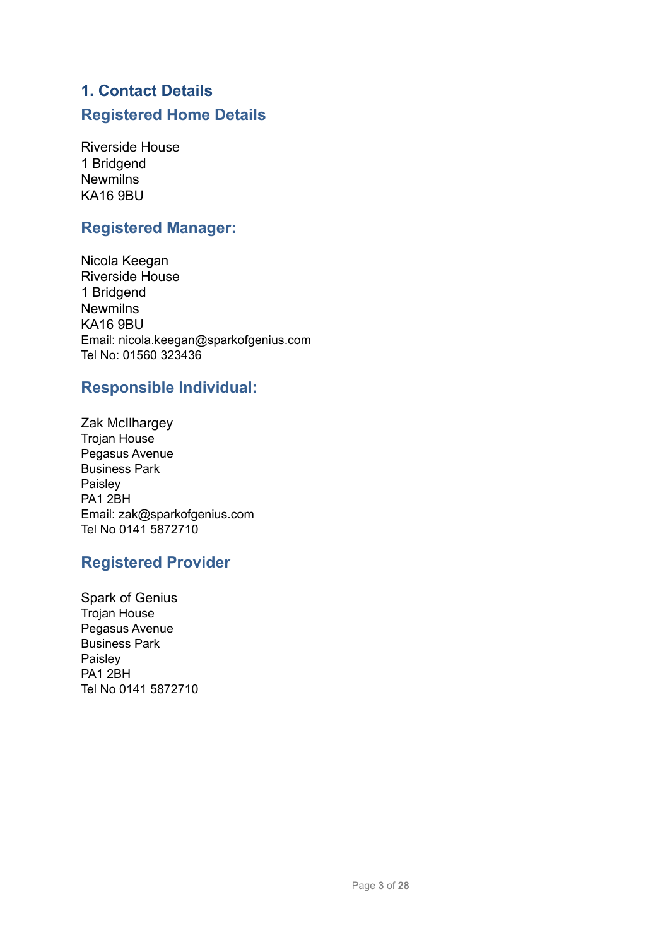# **1. Contact Details Registered Home Details**

Riverside House 1 Bridgend Newmilns KA16 9BU

# **Registered Manager:**

Nicola Keegan Riverside House 1 Bridgend **Newmilns** KA16 9BU Email: nicola.keegan@sparkofgenius.com Tel No: 01560 323436

# **Responsible Individual:**

Zak McIlhargey Trojan House Pegasus Avenue Business Park Paisley PA1 2BH Email: zak@sparkofgenius.com Tel No 0141 5872710

# **Registered Provider**

Spark of Genius Trojan House Pegasus Avenue Business Park Paisley PA1 2BH Tel No 0141 5872710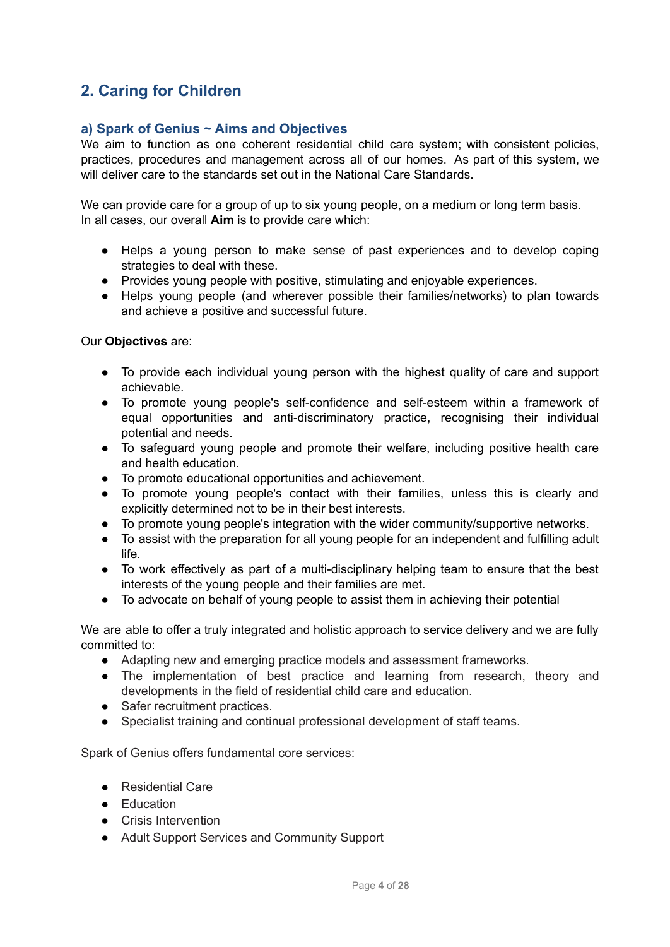# **2. Caring for Children**

# **a) Spark of Genius ~ Aims and Objectives**

We aim to function as one coherent residential child care system; with consistent policies, practices, procedures and management across all of our homes. As part of this system, we will deliver care to the standards set out in the National Care Standards.

We can provide care for a group of up to six young people, on a medium or long term basis. In all cases, our overall **Aim** is to provide care which:

- Helps a young person to make sense of past experiences and to develop coping strategies to deal with these.
- Provides young people with positive, stimulating and enjoyable experiences.
- Helps young people (and wherever possible their families/networks) to plan towards and achieve a positive and successful future.

Our **Objectives** are:

- To provide each individual young person with the highest quality of care and support achievable.
- To promote young people's self-confidence and self-esteem within a framework of equal opportunities and anti-discriminatory practice, recognising their individual potential and needs.
- To safeguard young people and promote their welfare, including positive health care and health education.
- To promote educational opportunities and achievement.
- To promote young people's contact with their families, unless this is clearly and explicitly determined not to be in their best interests.
- To promote young people's integration with the wider community/supportive networks.
- To assist with the preparation for all young people for an independent and fulfilling adult life.
- To work effectively as part of a multi-disciplinary helping team to ensure that the best interests of the young people and their families are met.
- To advocate on behalf of young people to assist them in achieving their potential

We are able to offer a truly integrated and holistic approach to service delivery and we are fully committed to:

- Adapting new and emerging practice models and assessment frameworks.
- The implementation of best practice and learning from research, theory and developments in the field of residential child care and education.
- Safer recruitment practices.
- Specialist training and continual professional development of staff teams.

Spark of Genius offers fundamental core services:

- Residential Care
- Education
- Crisis Intervention
- Adult Support Services and Community Support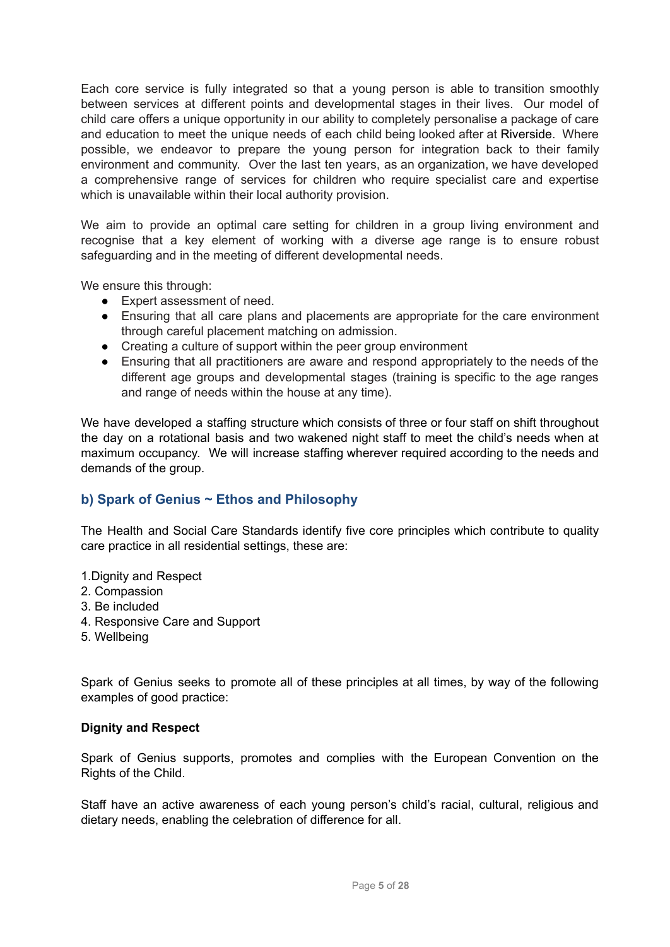Each core service is fully integrated so that a young person is able to transition smoothly between services at different points and developmental stages in their lives. Our model of child care offers a unique opportunity in our ability to completely personalise a package of care and education to meet the unique needs of each child being looked after at Riverside. Where possible, we endeavor to prepare the young person for integration back to their family environment and community. Over the last ten years, as an organization, we have developed a comprehensive range of services for children who require specialist care and expertise which is unavailable within their local authority provision.

We aim to provide an optimal care setting for children in a group living environment and recognise that a key element of working with a diverse age range is to ensure robust safeguarding and in the meeting of different developmental needs.

We ensure this through:

- Expert assessment of need.
- Ensuring that all care plans and placements are appropriate for the care environment through careful placement matching on admission.
- Creating a culture of support within the peer group environment
- Ensuring that all practitioners are aware and respond appropriately to the needs of the different age groups and developmental stages (training is specific to the age ranges and range of needs within the house at any time).

We have developed a staffing structure which consists of three or four staff on shift throughout the day on a rotational basis and two wakened night staff to meet the child's needs when at maximum occupancy. We will increase staffing wherever required according to the needs and demands of the group.

# **b) Spark of Genius ~ Ethos and Philosophy**

The Health and Social Care Standards identify five core principles which contribute to quality care practice in all residential settings, these are:

- 1. Dignity and Respect
- 2. Compassion
- 3. Be included
- 4. Responsive Care and Support
- 5. Wellbeing

Spark of Genius seeks to promote all of these principles at all times, by way of the following examples of good practice:

## **Dignity and Respect**

Spark of Genius supports, promotes and complies with the European Convention on the Rights of the Child.

Staff have an active awareness of each young person's child's racial, cultural, religious and dietary needs, enabling the celebration of difference for all.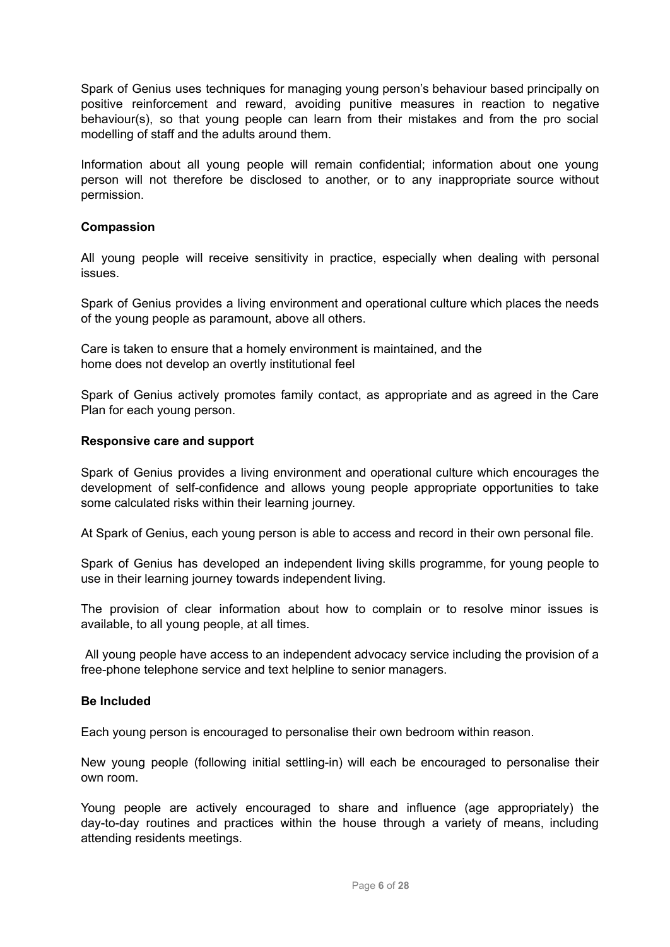Spark of Genius uses techniques for managing young person's behaviour based principally on positive reinforcement and reward, avoiding punitive measures in reaction to negative behaviour(s), so that young people can learn from their mistakes and from the pro social modelling of staff and the adults around them.

Information about all young people will remain confidential; information about one young person will not therefore be disclosed to another, or to any inappropriate source without permission.

#### **Compassion**

All young people will receive sensitivity in practice, especially when dealing with personal issues.

Spark of Genius provides a living environment and operational culture which places the needs of the young people as paramount, above all others.

Care is taken to ensure that a homely environment is maintained, and the home does not develop an overtly institutional feel

Spark of Genius actively promotes family contact, as appropriate and as agreed in the Care Plan for each young person.

#### **Responsive care and support**

Spark of Genius provides a living environment and operational culture which encourages the development of self-confidence and allows young people appropriate opportunities to take some calculated risks within their learning journey.

At Spark of Genius, each young person is able to access and record in their own personal file.

Spark of Genius has developed an independent living skills programme, for young people to use in their learning journey towards independent living.

The provision of clear information about how to complain or to resolve minor issues is available, to all young people, at all times.

All young people have access to an independent advocacy service including the provision of a free-phone telephone service and text helpline to senior managers.

#### **Be Included**

Each young person is encouraged to personalise their own bedroom within reason.

New young people (following initial settling-in) will each be encouraged to personalise their own room.

Young people are actively encouraged to share and influence (age appropriately) the day-to-day routines and practices within the house through a variety of means, including attending residents meetings.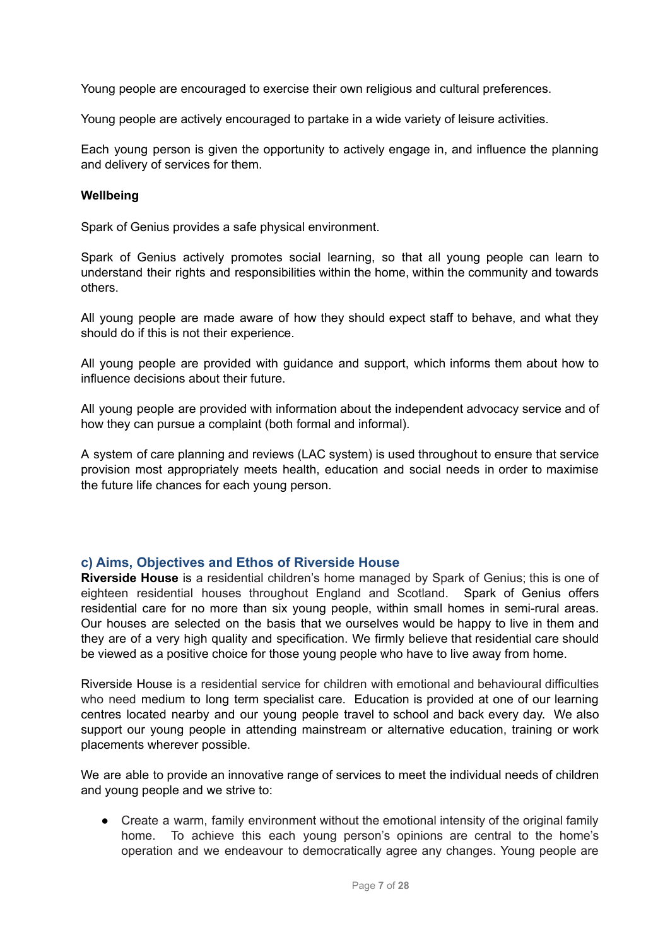Young people are encouraged to exercise their own religious and cultural preferences.

Young people are actively encouraged to partake in a wide variety of leisure activities.

Each young person is given the opportunity to actively engage in, and influence the planning and delivery of services for them.

#### **Wellbeing**

Spark of Genius provides a safe physical environment.

Spark of Genius actively promotes social learning, so that all young people can learn to understand their rights and responsibilities within the home, within the community and towards others.

All young people are made aware of how they should expect staff to behave, and what they should do if this is not their experience.

All young people are provided with guidance and support, which informs them about how to influence decisions about their future.

All young people are provided with information about the independent advocacy service and of how they can pursue a complaint (both formal and informal).

A system of care planning and reviews (LAC system) is used throughout to ensure that service provision most appropriately meets health, education and social needs in order to maximise the future life chances for each young person.

## **c) Aims, Objectives and Ethos of Riverside House**

**Riverside House** is a residential children's home managed by Spark of Genius; this is one of eighteen residential houses throughout England and Scotland. Spark of Genius offers residential care for no more than six young people, within small homes in semi-rural areas. Our houses are selected on the basis that we ourselves would be happy to live in them and they are of a very high quality and specification. We firmly believe that residential care should be viewed as a positive choice for those young people who have to live away from home.

Riverside House is a residential service for children with emotional and behavioural difficulties who need medium to long term specialist care. Education is provided at one of our learning centres located nearby and our young people travel to school and back every day. We also support our young people in attending mainstream or alternative education, training or work placements wherever possible.

We are able to provide an innovative range of services to meet the individual needs of children and young people and we strive to:

● Create a warm, family environment without the emotional intensity of the original family home. To achieve this each young person's opinions are central to the home's operation and we endeavour to democratically agree any changes. Young people are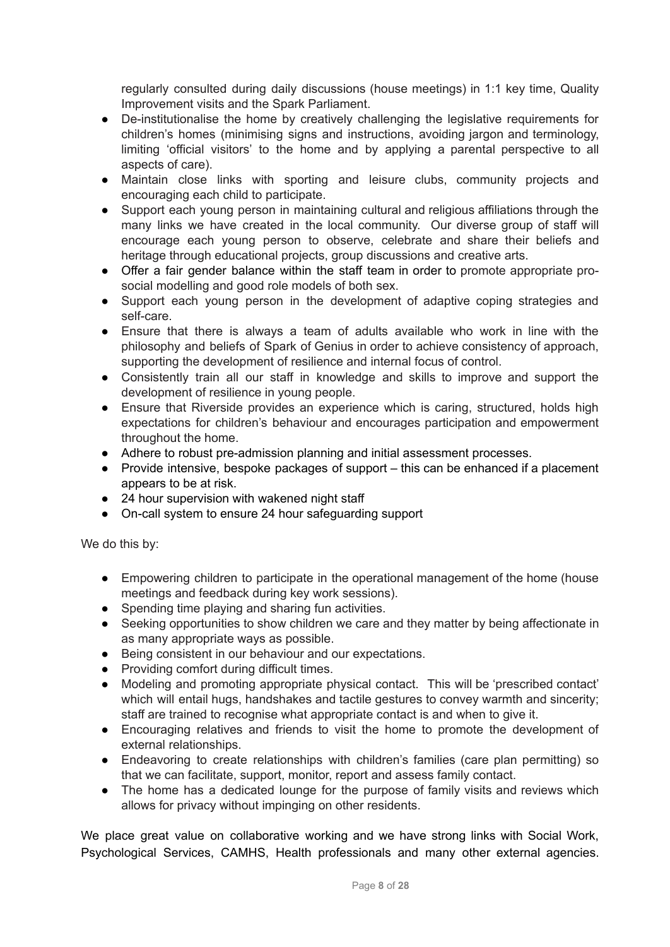regularly consulted during daily discussions (house meetings) in 1:1 key time, Quality Improvement visits and the Spark Parliament.

- De-institutionalise the home by creatively challenging the legislative requirements for children's homes (minimising signs and instructions, avoiding jargon and terminology, limiting 'official visitors' to the home and by applying a parental perspective to all aspects of care).
- Maintain close links with sporting and leisure clubs, community projects and encouraging each child to participate.
- Support each young person in maintaining cultural and religious affiliations through the many links we have created in the local community. Our diverse group of staff will encourage each young person to observe, celebrate and share their beliefs and heritage through educational projects, group discussions and creative arts.
- Offer a fair gender balance within the staff team in order to promote appropriate prosocial modelling and good role models of both sex.
- Support each young person in the development of adaptive coping strategies and self-care.
- Ensure that there is always a team of adults available who work in line with the philosophy and beliefs of Spark of Genius in order to achieve consistency of approach, supporting the development of resilience and internal focus of control.
- Consistently train all our staff in knowledge and skills to improve and support the development of resilience in young people.
- Ensure that Riverside provides an experience which is caring, structured, holds high expectations for children's behaviour and encourages participation and empowerment throughout the home.
- Adhere to robust pre-admission planning and initial assessment processes.
- Provide intensive, bespoke packages of support this can be enhanced if a placement appears to be at risk.
- 24 hour supervision with wakened night staff
- On-call system to ensure 24 hour safeguarding support

We do this by:

- Empowering children to participate in the operational management of the home (house meetings and feedback during key work sessions).
- Spending time playing and sharing fun activities.
- Seeking opportunities to show children we care and they matter by being affectionate in as many appropriate ways as possible.
- Being consistent in our behaviour and our expectations.
- Providing comfort during difficult times.
- Modeling and promoting appropriate physical contact. This will be 'prescribed contact' which will entail hugs, handshakes and tactile gestures to convey warmth and sincerity; staff are trained to recognise what appropriate contact is and when to give it.
- Encouraging relatives and friends to visit the home to promote the development of external relationships.
- Endeavoring to create relationships with children's families (care plan permitting) so that we can facilitate, support, monitor, report and assess family contact.
- The home has a dedicated lounge for the purpose of family visits and reviews which allows for privacy without impinging on other residents.

We place great value on collaborative working and we have strong links with Social Work, Psychological Services, CAMHS, Health professionals and many other external agencies.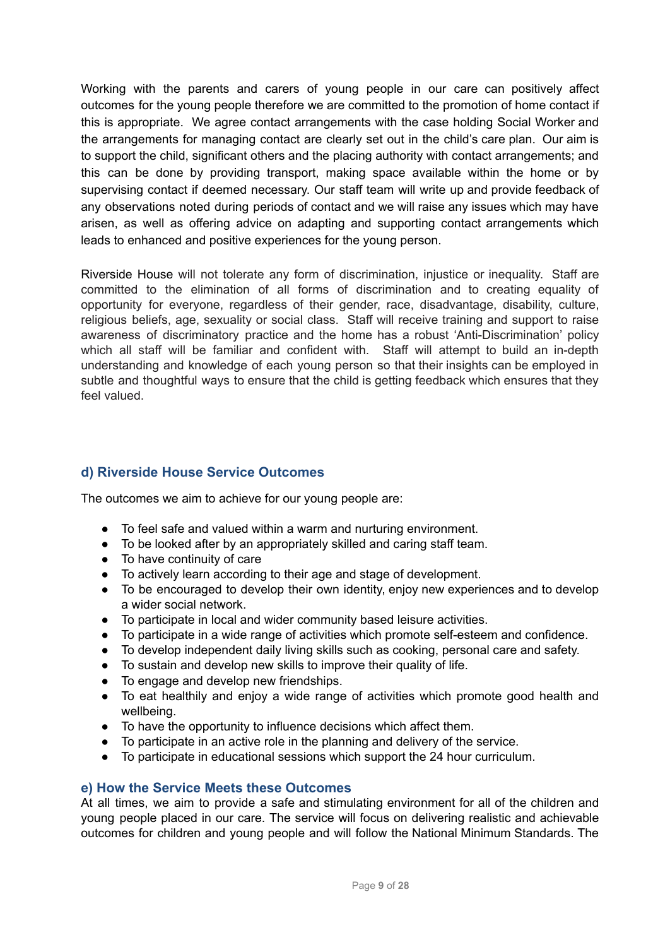Working with the parents and carers of young people in our care can positively affect outcomes for the young people therefore we are committed to the promotion of home contact if this is appropriate. We agree contact arrangements with the case holding Social Worker and the arrangements for managing contact are clearly set out in the child's care plan. Our aim is to support the child, significant others and the placing authority with contact arrangements; and this can be done by providing transport, making space available within the home or by supervising contact if deemed necessary. Our staff team will write up and provide feedback of any observations noted during periods of contact and we will raise any issues which may have arisen, as well as offering advice on adapting and supporting contact arrangements which leads to enhanced and positive experiences for the young person.

Riverside House will not tolerate any form of discrimination, injustice or inequality. Staff are committed to the elimination of all forms of discrimination and to creating equality of opportunity for everyone, regardless of their gender, race, disadvantage, disability, culture, religious beliefs, age, sexuality or social class. Staff will receive training and support to raise awareness of discriminatory practice and the home has a robust 'Anti-Discrimination' policy which all staff will be familiar and confident with. Staff will attempt to build an in-depth understanding and knowledge of each young person so that their insights can be employed in subtle and thoughtful ways to ensure that the child is getting feedback which ensures that they feel valued.

# **d) Riverside House Service Outcomes**

The outcomes we aim to achieve for our young people are:

- To feel safe and valued within a warm and nurturing environment.
- To be looked after by an appropriately skilled and caring staff team.
- To have continuity of care
- To actively learn according to their age and stage of development.
- To be encouraged to develop their own identity, enjoy new experiences and to develop a wider social network.
- To participate in local and wider community based leisure activities.
- To participate in a wide range of activities which promote self-esteem and confidence.
- To develop independent daily living skills such as cooking, personal care and safety.
- To sustain and develop new skills to improve their quality of life.
- To engage and develop new friendships.
- To eat healthily and enjoy a wide range of activities which promote good health and wellbeing.
- To have the opportunity to influence decisions which affect them.
- To participate in an active role in the planning and delivery of the service.
- To participate in educational sessions which support the 24 hour curriculum.

## **e) How the Service Meets these Outcomes**

At all times, we aim to provide a safe and stimulating environment for all of the children and young people placed in our care. The service will focus on delivering realistic and achievable outcomes for children and young people and will follow the National Minimum Standards. The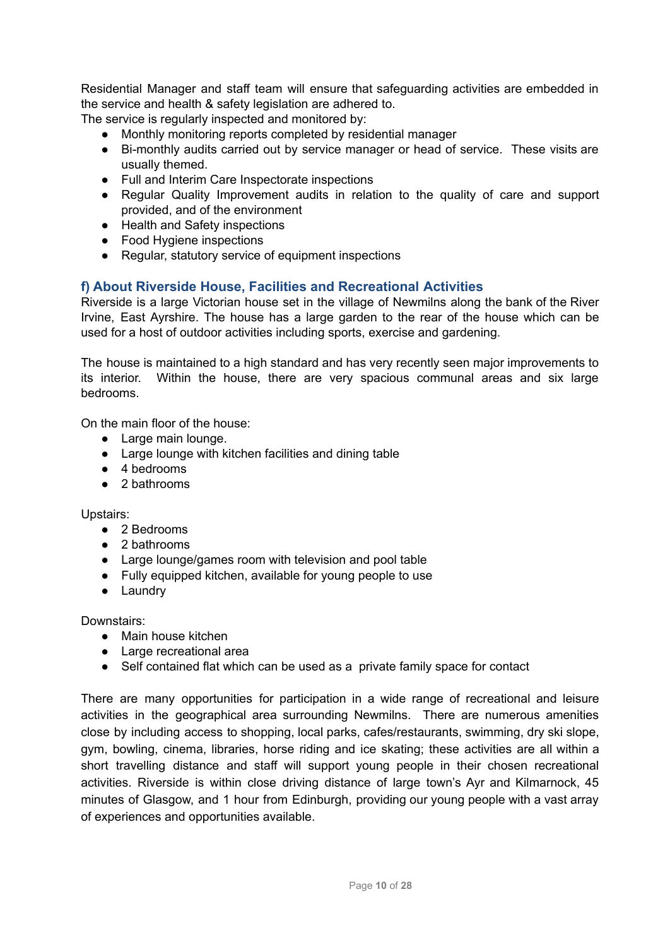Residential Manager and staff team will ensure that safeguarding activities are embedded in the service and health & safety legislation are adhered to.

The service is regularly inspected and monitored by:

- Monthly monitoring reports completed by residential manager
- Bi-monthly audits carried out by service manager or head of service. These visits are usually themed.
- Full and Interim Care Inspectorate inspections
- Regular Quality Improvement audits in relation to the quality of care and support provided, and of the environment
- Health and Safety inspections
- Food Hygiene inspections
- Regular, statutory service of equipment inspections

# **f) About Riverside House, Facilities and Recreational Activities**

Riverside is a large Victorian house set in the village of Newmilns along the bank of the River Irvine, East Ayrshire. The house has a large garden to the rear of the house which can be used for a host of outdoor activities including sports, exercise and gardening.

The house is maintained to a high standard and has very recently seen major improvements to its interior. Within the house, there are very spacious communal areas and six large bedrooms.

On the main floor of the house:

- Large main lounge.
- Large lounge with kitchen facilities and dining table
- 4 bedrooms
- 2 bathrooms

Upstairs:

- 2 Bedrooms
- 2 bathrooms
- Large lounge/games room with television and pool table
- Fully equipped kitchen, available for young people to use
- Laundry

Downstairs:

- Main house kitchen
- Large recreational area
- Self contained flat which can be used as a private family space for contact

There are many opportunities for participation in a wide range of recreational and leisure activities in the geographical area surrounding Newmilns. There are numerous amenities close by including access to shopping, local parks, cafes/restaurants, swimming, dry ski slope, gym, bowling, cinema, libraries, horse riding and ice skating; these activities are all within a short travelling distance and staff will support young people in their chosen recreational activities. Riverside is within close driving distance of large town's Ayr and Kilmarnock, 45 minutes of Glasgow, and 1 hour from Edinburgh, providing our young people with a vast array of experiences and opportunities available.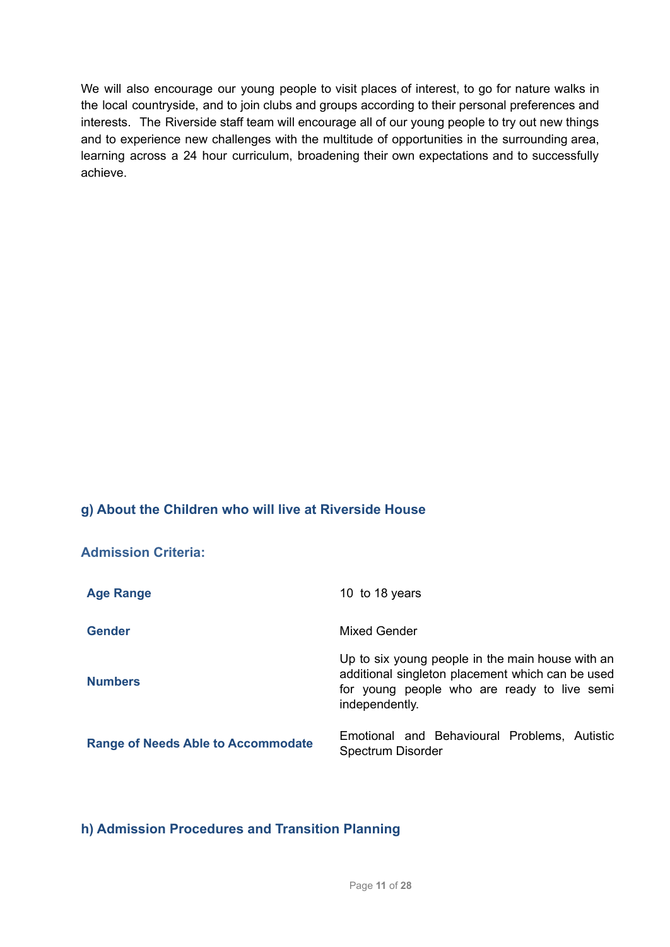We will also encourage our young people to visit places of interest, to go for nature walks in the local countryside, and to join clubs and groups according to their personal preferences and interests. The Riverside staff team will encourage all of our young people to try out new things and to experience new challenges with the multitude of opportunities in the surrounding area, learning across a 24 hour curriculum, broadening their own expectations and to successfully achieve.

# **g) About the Children who will live at Riverside House**

| <b>Admission Criteria:</b>                |                                                                                                                                                                       |
|-------------------------------------------|-----------------------------------------------------------------------------------------------------------------------------------------------------------------------|
| <b>Age Range</b>                          | 10 to 18 years                                                                                                                                                        |
| <b>Gender</b>                             | <b>Mixed Gender</b>                                                                                                                                                   |
| <b>Numbers</b>                            | Up to six young people in the main house with an<br>additional singleton placement which can be used<br>for young people who are ready to live semi<br>independently. |
| <b>Range of Needs Able to Accommodate</b> | Emotional and Behavioural Problems, Autistic<br>Spectrum Disorder                                                                                                     |

# **h) Admission Procedures and Transition Planning**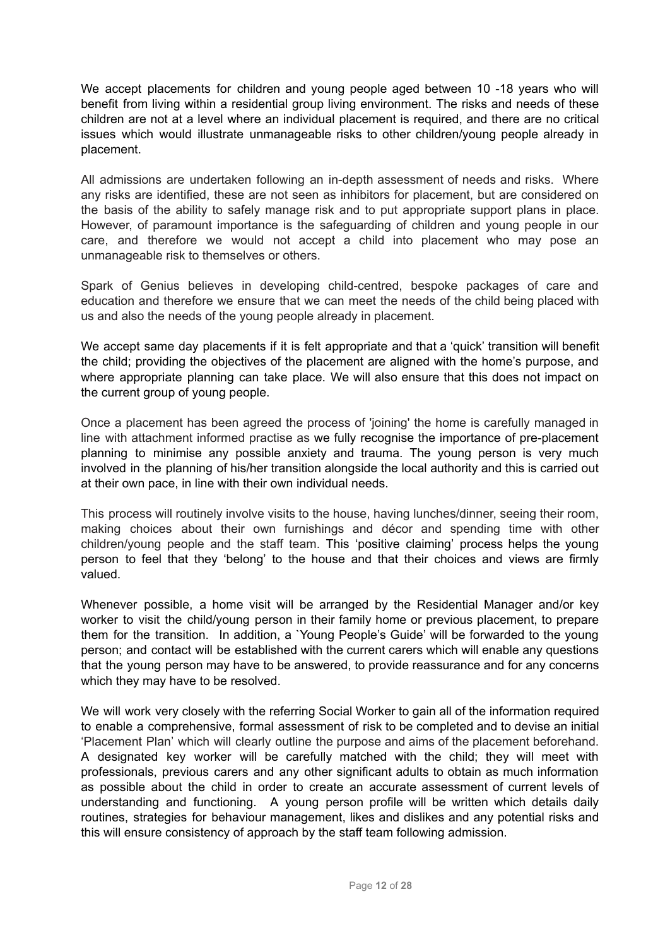We accept placements for children and young people aged between 10 -18 years who will benefit from living within a residential group living environment. The risks and needs of these children are not at a level where an individual placement is required, and there are no critical issues which would illustrate unmanageable risks to other children/young people already in placement.

All admissions are undertaken following an in-depth assessment of needs and risks. Where any risks are identified, these are not seen as inhibitors for placement, but are considered on the basis of the ability to safely manage risk and to put appropriate support plans in place. However, of paramount importance is the safeguarding of children and young people in our care, and therefore we would not accept a child into placement who may pose an unmanageable risk to themselves or others.

Spark of Genius believes in developing child-centred, bespoke packages of care and education and therefore we ensure that we can meet the needs of the child being placed with us and also the needs of the young people already in placement.

We accept same day placements if it is felt appropriate and that a 'quick' transition will benefit the child; providing the objectives of the placement are aligned with the home's purpose, and where appropriate planning can take place. We will also ensure that this does not impact on the current group of young people.

Once a placement has been agreed the process of 'joining' the home is carefully managed in line with attachment informed practise as we fully recognise the importance of pre-placement planning to minimise any possible anxiety and trauma. The young person is very much involved in the planning of his/her transition alongside the local authority and this is carried out at their own pace, in line with their own individual needs.

This process will routinely involve visits to the house, having lunches/dinner, seeing their room, making choices about their own furnishings and décor and spending time with other children/young people and the staff team. This 'positive claiming' process helps the young person to feel that they 'belong' to the house and that their choices and views are firmly valued.

Whenever possible, a home visit will be arranged by the Residential Manager and/or key worker to visit the child/young person in their family home or previous placement, to prepare them for the transition. In addition, a `Young People's Guide' will be forwarded to the young person; and contact will be established with the current carers which will enable any questions that the young person may have to be answered, to provide reassurance and for any concerns which they may have to be resolved.

We will work very closely with the referring Social Worker to gain all of the information required to enable a comprehensive, formal assessment of risk to be completed and to devise an initial 'Placement Plan' which will clearly outline the purpose and aims of the placement beforehand. A designated key worker will be carefully matched with the child; they will meet with professionals, previous carers and any other significant adults to obtain as much information as possible about the child in order to create an accurate assessment of current levels of understanding and functioning. A young person profile will be written which details daily routines, strategies for behaviour management, likes and dislikes and any potential risks and this will ensure consistency of approach by the staff team following admission.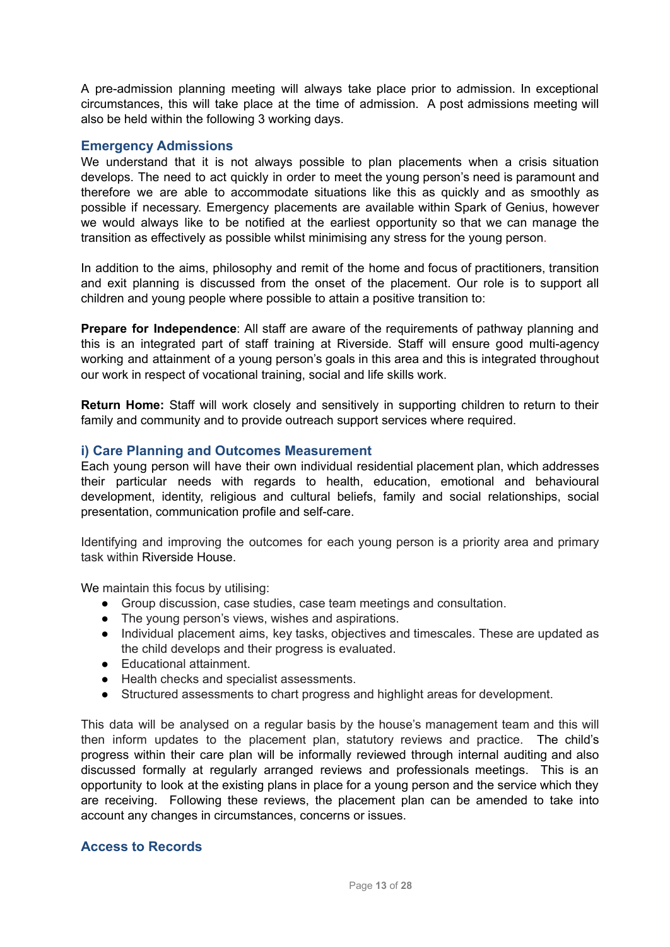A pre-admission planning meeting will always take place prior to admission. In exceptional circumstances, this will take place at the time of admission. A post admissions meeting will also be held within the following 3 working days.

# **Emergency Admissions**

We understand that it is not always possible to plan placements when a crisis situation develops. The need to act quickly in order to meet the young person's need is paramount and therefore we are able to accommodate situations like this as quickly and as smoothly as possible if necessary. Emergency placements are available within Spark of Genius, however we would always like to be notified at the earliest opportunity so that we can manage the transition as effectively as possible whilst minimising any stress for the young person.

In addition to the aims, philosophy and remit of the home and focus of practitioners, transition and exit planning is discussed from the onset of the placement. Our role is to support all children and young people where possible to attain a positive transition to:

**Prepare for Independence**: All staff are aware of the requirements of pathway planning and this is an integrated part of staff training at Riverside. Staff will ensure good multi-agency working and attainment of a young person's goals in this area and this is integrated throughout our work in respect of vocational training, social and life skills work.

**Return Home:** Staff will work closely and sensitively in supporting children to return to their family and community and to provide outreach support services where required.

## **i) Care Planning and Outcomes Measurement**

Each young person will have their own individual residential placement plan, which addresses their particular needs with regards to health, education, emotional and behavioural development, identity, religious and cultural beliefs, family and social relationships, social presentation, communication profile and self-care.

Identifying and improving the outcomes for each young person is a priority area and primary task within Riverside House.

We maintain this focus by utilising:

- Group discussion, case studies, case team meetings and consultation.
- The young person's views, wishes and aspirations.
- Individual placement aims, key tasks, objectives and timescales. These are updated as the child develops and their progress is evaluated.
- Educational attainment.
- Health checks and specialist assessments.
- Structured assessments to chart progress and highlight areas for development.

This data will be analysed on a regular basis by the house's management team and this will then inform updates to the placement plan, statutory reviews and practice. The child's progress within their care plan will be informally reviewed through internal auditing and also discussed formally at regularly arranged reviews and professionals meetings. This is an opportunity to look at the existing plans in place for a young person and the service which they are receiving. Following these reviews, the placement plan can be amended to take into account any changes in circumstances, concerns or issues.

## **Access to Records**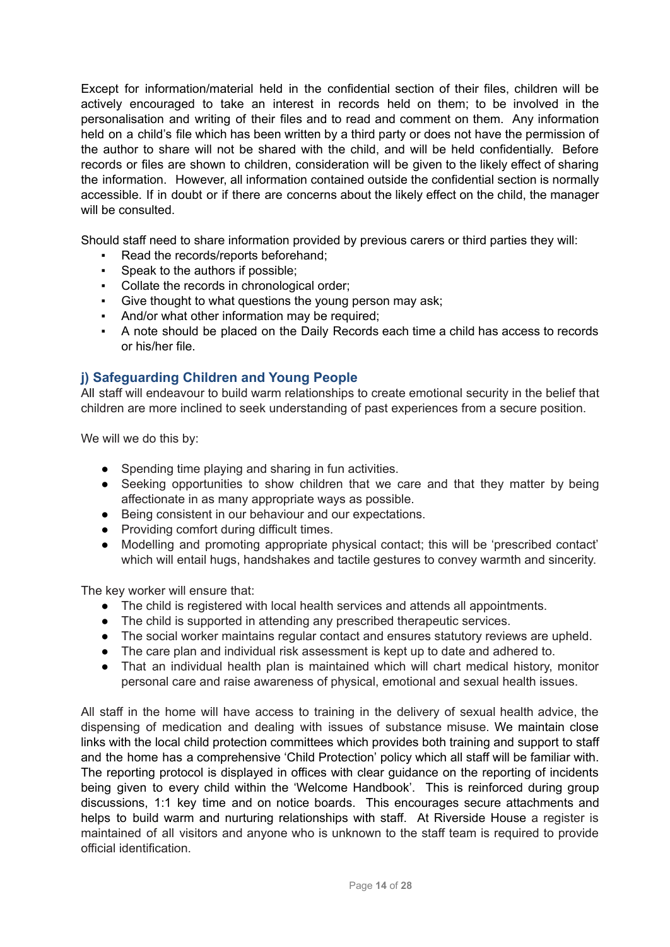Except for information/material held in the confidential section of their files, children will be actively encouraged to take an interest in records held on them; to be involved in the personalisation and writing of their files and to read and comment on them. Any information held on a child's file which has been written by a third party or does not have the permission of the author to share will not be shared with the child, and will be held confidentially. Before records or files are shown to children, consideration will be given to the likely effect of sharing the information. However, all information contained outside the confidential section is normally accessible. If in doubt or if there are concerns about the likely effect on the child, the manager will be consulted.

Should staff need to share information provided by previous carers or third parties they will:

- Read the records/reports beforehand:
- Speak to the authors if possible;
- Collate the records in chronological order;
- Give thought to what questions the young person may ask;
- And/or what other information may be required;
- A note should be placed on the Daily Records each time a child has access to records or his/her file.

# **j) Safeguarding Children and Young People**

All staff will endeavour to build warm relationships to create emotional security in the belief that children are more inclined to seek understanding of past experiences from a secure position.

We will we do this by:

- Spending time playing and sharing in fun activities.
- Seeking opportunities to show children that we care and that they matter by being affectionate in as many appropriate ways as possible.
- Being consistent in our behaviour and our expectations.
- Providing comfort during difficult times.
- Modelling and promoting appropriate physical contact; this will be 'prescribed contact' which will entail hugs, handshakes and tactile gestures to convey warmth and sincerity.

The key worker will ensure that:

- The child is registered with local health services and attends all appointments.
- The child is supported in attending any prescribed therapeutic services.
- The social worker maintains regular contact and ensures statutory reviews are upheld.
- The care plan and individual risk assessment is kept up to date and adhered to.
- That an individual health plan is maintained which will chart medical history, monitor personal care and raise awareness of physical, emotional and sexual health issues.

All staff in the home will have access to training in the delivery of sexual health advice, the dispensing of medication and dealing with issues of substance misuse. We maintain close links with the local child protection committees which provides both training and support to staff and the home has a comprehensive 'Child Protection' policy which all staff will be familiar with. The reporting protocol is displayed in offices with clear guidance on the reporting of incidents being given to every child within the 'Welcome Handbook'. This is reinforced during group discussions, 1:1 key time and on notice boards. This encourages secure attachments and helps to build warm and nurturing relationships with staff. At Riverside House a register is maintained of all visitors and anyone who is unknown to the staff team is required to provide official identification.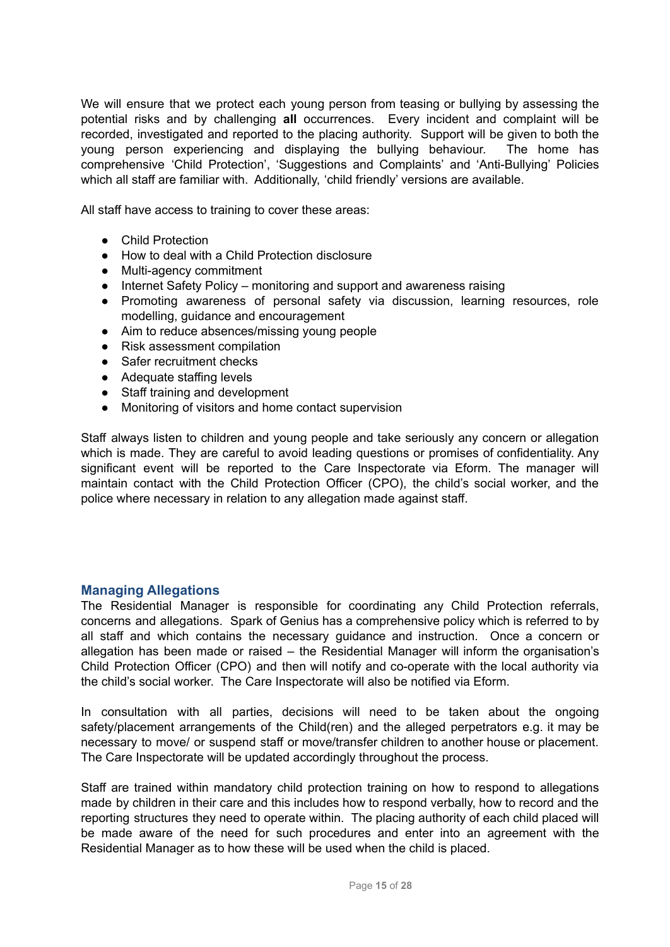We will ensure that we protect each young person from teasing or bullying by assessing the potential risks and by challenging **all** occurrences. Every incident and complaint will be recorded, investigated and reported to the placing authority. Support will be given to both the young person experiencing and displaying the bullying behaviour. The home has comprehensive 'Child Protection', 'Suggestions and Complaints' and 'Anti-Bullying' Policies which all staff are familiar with. Additionally, 'child friendly' versions are available.

All staff have access to training to cover these areas:

- Child Protection
- How to deal with a Child Protection disclosure
- Multi-agency commitment
- Internet Safety Policy monitoring and support and awareness raising
- Promoting awareness of personal safety via discussion, learning resources, role modelling, guidance and encouragement
- Aim to reduce absences/missing young people
- Risk assessment compilation
- Safer recruitment checks
- Adequate staffing levels
- Staff training and development
- Monitoring of visitors and home contact supervision

Staff always listen to children and young people and take seriously any concern or allegation which is made. They are careful to avoid leading questions or promises of confidentiality. Any significant event will be reported to the Care Inspectorate via Eform. The manager will maintain contact with the Child Protection Officer (CPO), the child's social worker, and the police where necessary in relation to any allegation made against staff.

## **Managing Allegations**

The Residential Manager is responsible for coordinating any Child Protection referrals, concerns and allegations. Spark of Genius has a comprehensive policy which is referred to by all staff and which contains the necessary guidance and instruction. Once a concern or allegation has been made or raised – the Residential Manager will inform the organisation's Child Protection Officer (CPO) and then will notify and co-operate with the local authority via the child's social worker. The Care Inspectorate will also be notified via Eform.

In consultation with all parties, decisions will need to be taken about the ongoing safety/placement arrangements of the Child(ren) and the alleged perpetrators e.g. it may be necessary to move/ or suspend staff or move/transfer children to another house or placement. The Care Inspectorate will be updated accordingly throughout the process.

Staff are trained within mandatory child protection training on how to respond to allegations made by children in their care and this includes how to respond verbally, how to record and the reporting structures they need to operate within. The placing authority of each child placed will be made aware of the need for such procedures and enter into an agreement with the Residential Manager as to how these will be used when the child is placed.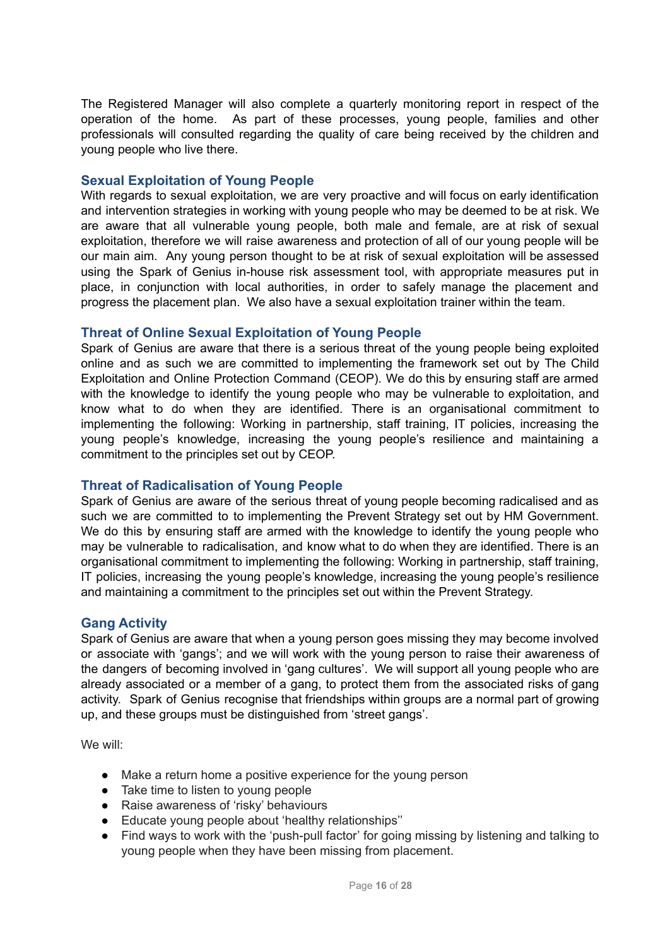The Registered Manager will also complete a quarterly monitoring report in respect of the operation of the home. As part of these processes, young people, families and other professionals will consulted regarding the quality of care being received by the children and young people who live there.

## **Sexual Exploitation of Young People**

With regards to sexual exploitation, we are very proactive and will focus on early identification and intervention strategies in working with young people who may be deemed to be at risk. We are aware that all vulnerable young people, both male and female, are at risk of sexual exploitation, therefore we will raise awareness and protection of all of our young people will be our main aim. Any young person thought to be at risk of sexual exploitation will be assessed using the Spark of Genius in-house risk assessment tool, with appropriate measures put in place, in conjunction with local authorities, in order to safely manage the placement and progress the placement plan. We also have a sexual exploitation trainer within the team.

## **Threat of Online Sexual Exploitation of Young People**

Spark of Genius are aware that there is a serious threat of the young people being exploited online and as such we are committed to implementing the framework set out by The Child Exploitation and Online Protection Command (CEOP). We do this by ensuring staff are armed with the knowledge to identify the young people who may be vulnerable to exploitation, and know what to do when they are identified. There is an organisational commitment to implementing the following: Working in partnership, staff training, IT policies, increasing the young people's knowledge, increasing the young people's resilience and maintaining a commitment to the principles set out by CEOP.

# **Threat of Radicalisation of Young People**

Spark of Genius are aware of the serious threat of young people becoming radicalised and as such we are committed to to implementing the Prevent Strategy set out by HM Government. We do this by ensuring staff are armed with the knowledge to identify the young people who may be vulnerable to radicalisation, and know what to do when they are identified. There is an organisational commitment to implementing the following: Working in partnership, staff training, IT policies, increasing the young people's knowledge, increasing the young people's resilience and maintaining a commitment to the principles set out within the Prevent Strategy.

## **Gang Activity**

Spark of Genius are aware that when a young person goes missing they may become involved or associate with 'gangs'; and we will work with the young person to raise their awareness of the dangers of becoming involved in 'gang cultures'. We will support all young people who are already associated or a member of a gang, to protect them from the associated risks of gang activity. Spark of Genius recognise that friendships within groups are a normal part of growing up, and these groups must be distinguished from 'street gangs'.

We will:

- Make a return home a positive experience for the young person
- Take time to listen to young people
- Raise awareness of 'risky' behaviours
- Educate young people about 'healthy relationships''
- Find ways to work with the 'push-pull factor' for going missing by listening and talking to young people when they have been missing from placement.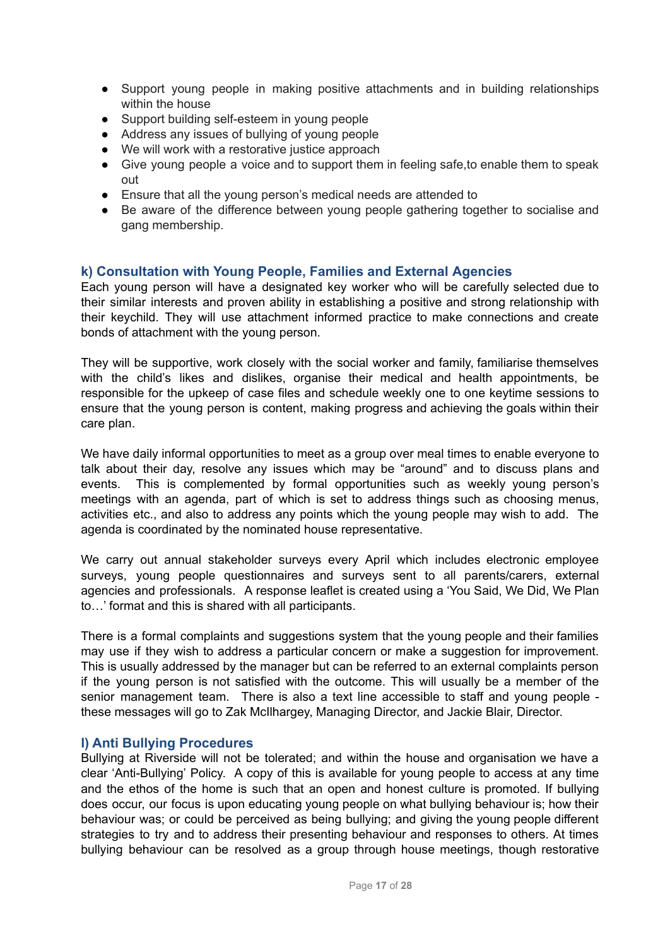- Support young people in making positive attachments and in building relationships within the house
- Support building self-esteem in young people
- Address any issues of bullying of young people
- We will work with a restorative justice approach
- Give young people a voice and to support them in feeling safe,to enable them to speak out
- Ensure that all the young person's medical needs are attended to
- Be aware of the difference between young people gathering together to socialise and gang membership.

## **k) Consultation with Young People, Families and External Agencies**

Each young person will have a designated key worker who will be carefully selected due to their similar interests and proven ability in establishing a positive and strong relationship with their keychild. They will use attachment informed practice to make connections and create bonds of attachment with the young person.

They will be supportive, work closely with the social worker and family, familiarise themselves with the child's likes and dislikes, organise their medical and health appointments, be responsible for the upkeep of case files and schedule weekly one to one keytime sessions to ensure that the young person is content, making progress and achieving the goals within their care plan.

We have daily informal opportunities to meet as a group over meal times to enable everyone to talk about their day, resolve any issues which may be "around" and to discuss plans and events. This is complemented by formal opportunities such as weekly young person's meetings with an agenda, part of which is set to address things such as choosing menus, activities etc., and also to address any points which the young people may wish to add. The agenda is coordinated by the nominated house representative.

We carry out annual stakeholder surveys every April which includes electronic employee surveys, young people questionnaires and surveys sent to all parents/carers, external agencies and professionals. A response leaflet is created using a 'You Said, We Did, We Plan to…' format and this is shared with all participants.

There is a formal complaints and suggestions system that the young people and their families may use if they wish to address a particular concern or make a suggestion for improvement. This is usually addressed by the manager but can be referred to an external complaints person if the young person is not satisfied with the outcome. This will usually be a member of the senior management team. There is also a text line accessible to staff and young people these messages will go to Zak McIlhargey, Managing Director, and Jackie Blair, Director.

# **l) Anti Bullying Procedures**

Bullying at Riverside will not be tolerated; and within the house and organisation we have a clear 'Anti-Bullying' Policy. A copy of this is available for young people to access at any time and the ethos of the home is such that an open and honest culture is promoted. If bullying does occur, our focus is upon educating young people on what bullying behaviour is; how their behaviour was; or could be perceived as being bullying; and giving the young people different strategies to try and to address their presenting behaviour and responses to others. At times bullying behaviour can be resolved as a group through house meetings, though restorative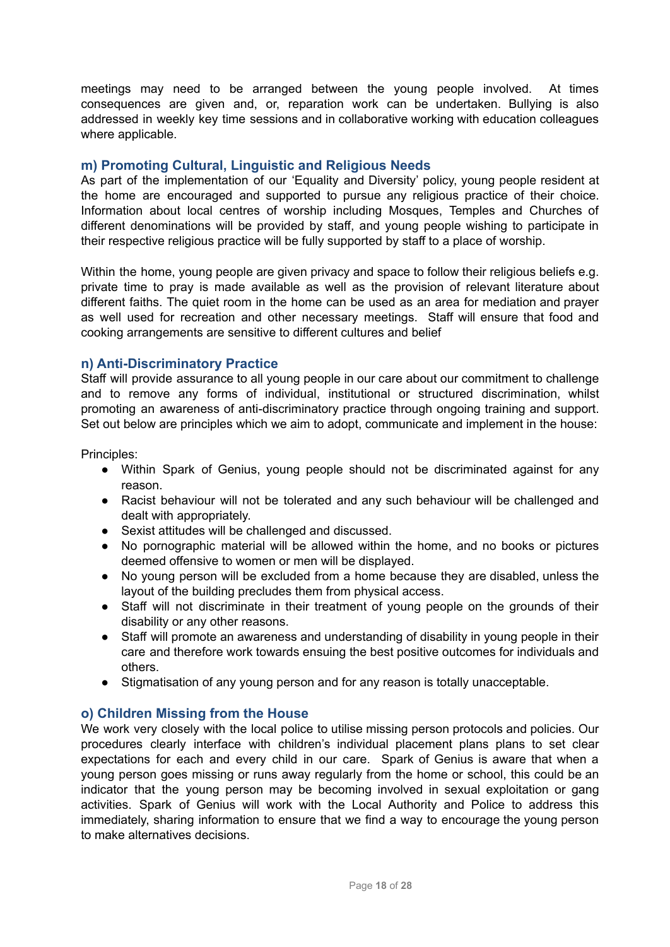meetings may need to be arranged between the young people involved. At times consequences are given and, or, reparation work can be undertaken. Bullying is also addressed in weekly key time sessions and in collaborative working with education colleagues where applicable.

# **m) Promoting Cultural, Linguistic and Religious Needs**

As part of the implementation of our 'Equality and Diversity' policy, young people resident at the home are encouraged and supported to pursue any religious practice of their choice. Information about local centres of worship including Mosques, Temples and Churches of different denominations will be provided by staff, and young people wishing to participate in their respective religious practice will be fully supported by staff to a place of worship.

Within the home, young people are given privacy and space to follow their religious beliefs e.g. private time to pray is made available as well as the provision of relevant literature about different faiths. The quiet room in the home can be used as an area for mediation and prayer as well used for recreation and other necessary meetings. Staff will ensure that food and cooking arrangements are sensitive to different cultures and belief

## **n) Anti-Discriminatory Practice**

Staff will provide assurance to all young people in our care about our commitment to challenge and to remove any forms of individual, institutional or structured discrimination, whilst promoting an awareness of anti-discriminatory practice through ongoing training and support. Set out below are principles which we aim to adopt, communicate and implement in the house:

Principles:

- Within Spark of Genius, young people should not be discriminated against for any reason.
- Racist behaviour will not be tolerated and any such behaviour will be challenged and dealt with appropriately.
- Sexist attitudes will be challenged and discussed.
- No pornographic material will be allowed within the home, and no books or pictures deemed offensive to women or men will be displayed.
- No young person will be excluded from a home because they are disabled, unless the layout of the building precludes them from physical access.
- Staff will not discriminate in their treatment of young people on the grounds of their disability or any other reasons.
- Staff will promote an awareness and understanding of disability in young people in their care and therefore work towards ensuing the best positive outcomes for individuals and others.
- Stigmatisation of any young person and for any reason is totally unacceptable.

## **o) Children Missing from the House**

We work very closely with the local police to utilise missing person protocols and policies. Our procedures clearly interface with children's individual placement plans plans to set clear expectations for each and every child in our care. Spark of Genius is aware that when a young person goes missing or runs away regularly from the home or school, this could be an indicator that the young person may be becoming involved in sexual exploitation or gang activities. Spark of Genius will work with the Local Authority and Police to address this immediately, sharing information to ensure that we find a way to encourage the young person to make alternatives decisions.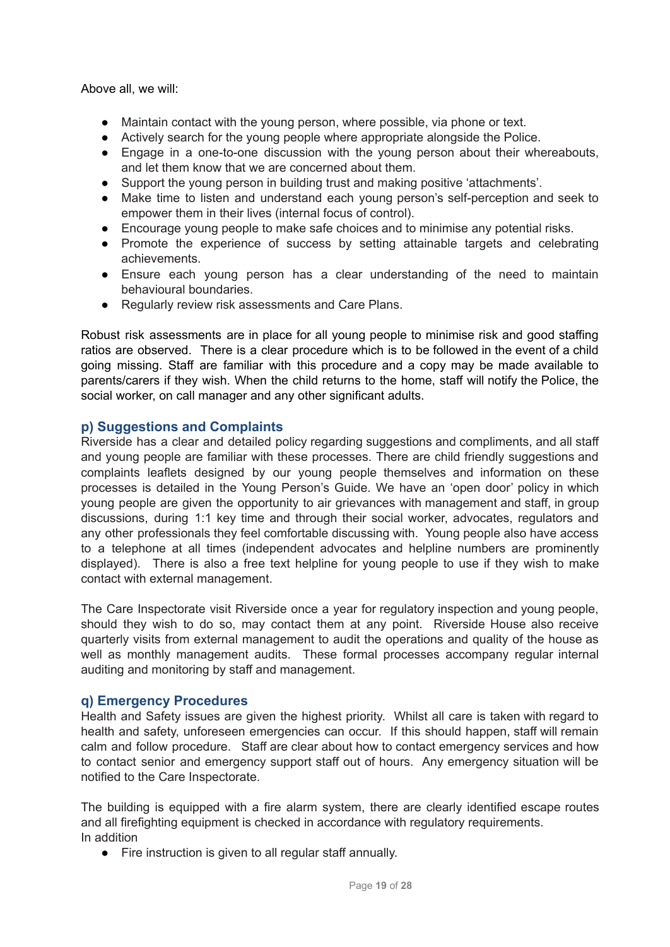Above all, we will:

- Maintain contact with the young person, where possible, via phone or text.
- Actively search for the young people where appropriate alongside the Police.
- Engage in a one-to-one discussion with the young person about their whereabouts, and let them know that we are concerned about them.
- Support the young person in building trust and making positive 'attachments'.
- Make time to listen and understand each young person's self-perception and seek to empower them in their lives (internal focus of control).
- Encourage young people to make safe choices and to minimise any potential risks.
- Promote the experience of success by setting attainable targets and celebrating achievements.
- Ensure each young person has a clear understanding of the need to maintain behavioural boundaries.
- Regularly review risk assessments and Care Plans.

Robust risk assessments are in place for all young people to minimise risk and good staffing ratios are observed. There is a clear procedure which is to be followed in the event of a child going missing. Staff are familiar with this procedure and a copy may be made available to parents/carers if they wish. When the child returns to the home, staff will notify the Police, the social worker, on call manager and any other significant adults.

## **p) Suggestions and Complaints**

Riverside has a clear and detailed policy regarding suggestions and compliments, and all staff and young people are familiar with these processes. There are child friendly suggestions and complaints leaflets designed by our young people themselves and information on these processes is detailed in the Young Person's Guide. We have an 'open door' policy in which young people are given the opportunity to air grievances with management and staff, in group discussions, during 1:1 key time and through their social worker, advocates, regulators and any other professionals they feel comfortable discussing with. Young people also have access to a telephone at all times (independent advocates and helpline numbers are prominently displayed). There is also a free text helpline for young people to use if they wish to make contact with external management.

The Care Inspectorate visit Riverside once a year for regulatory inspection and young people, should they wish to do so, may contact them at any point. Riverside House also receive quarterly visits from external management to audit the operations and quality of the house as well as monthly management audits. These formal processes accompany regular internal auditing and monitoring by staff and management.

## **q) Emergency Procedures**

Health and Safety issues are given the highest priority. Whilst all care is taken with regard to health and safety, unforeseen emergencies can occur. If this should happen, staff will remain calm and follow procedure. Staff are clear about how to contact emergency services and how to contact senior and emergency support staff out of hours. Any emergency situation will be notified to the Care Inspectorate.

The building is equipped with a fire alarm system, there are clearly identified escape routes and all firefighting equipment is checked in accordance with regulatory requirements. In addition

● Fire instruction is given to all regular staff annually.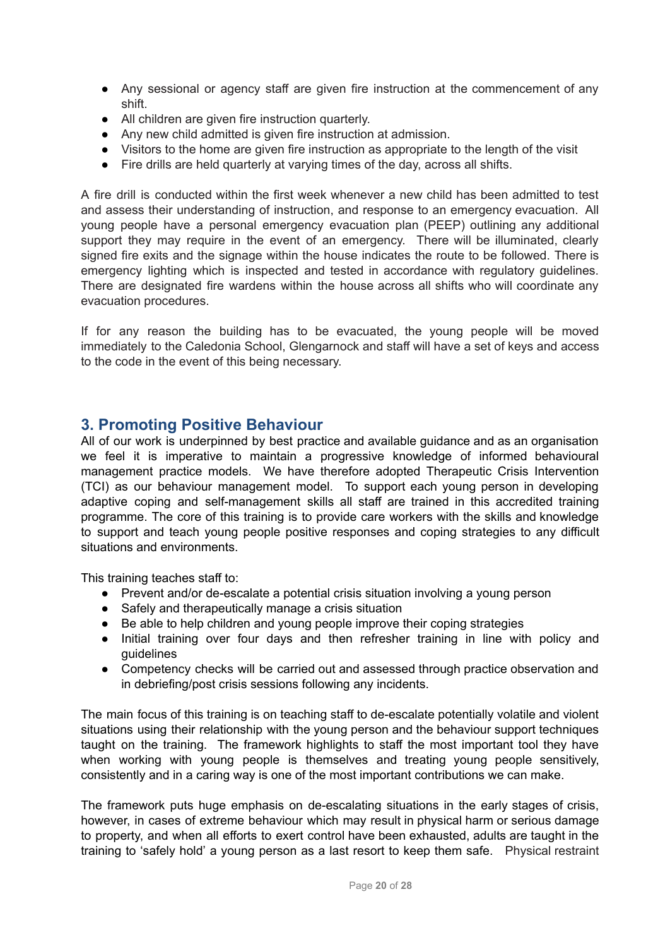- Any sessional or agency staff are given fire instruction at the commencement of any shift.
- All children are given fire instruction quarterly.
- Any new child admitted is given fire instruction at admission.
- Visitors to the home are given fire instruction as appropriate to the length of the visit
- Fire drills are held quarterly at varying times of the day, across all shifts.

A fire drill is conducted within the first week whenever a new child has been admitted to test and assess their understanding of instruction, and response to an emergency evacuation. All young people have a personal emergency evacuation plan (PEEP) outlining any additional support they may require in the event of an emergency. There will be illuminated, clearly signed fire exits and the signage within the house indicates the route to be followed. There is emergency lighting which is inspected and tested in accordance with regulatory guidelines. There are designated fire wardens within the house across all shifts who will coordinate any evacuation procedures.

If for any reason the building has to be evacuated, the young people will be moved immediately to the Caledonia School, Glengarnock and staff will have a set of keys and access to the code in the event of this being necessary.

# **3. Promoting Positive Behaviour**

All of our work is underpinned by best practice and available guidance and as an organisation we feel it is imperative to maintain a progressive knowledge of informed behavioural management practice models. We have therefore adopted Therapeutic Crisis Intervention (TCI) as our behaviour management model. To support each young person in developing adaptive coping and self-management skills all staff are trained in this accredited training programme. The core of this training is to provide care workers with the skills and knowledge to support and teach young people positive responses and coping strategies to any difficult situations and environments.

This training teaches staff to:

- Prevent and/or de-escalate a potential crisis situation involving a young person
- Safely and therapeutically manage a crisis situation
- Be able to help children and voung people improve their coping strategies
- Initial training over four days and then refresher training in line with policy and guidelines
- Competency checks will be carried out and assessed through practice observation and in debriefing/post crisis sessions following any incidents.

The main focus of this training is on teaching staff to de-escalate potentially volatile and violent situations using their relationship with the young person and the behaviour support techniques taught on the training. The framework highlights to staff the most important tool they have when working with young people is themselves and treating young people sensitively. consistently and in a caring way is one of the most important contributions we can make.

The framework puts huge emphasis on de-escalating situations in the early stages of crisis, however, in cases of extreme behaviour which may result in physical harm or serious damage to property, and when all efforts to exert control have been exhausted, adults are taught in the training to 'safely hold' a young person as a last resort to keep them safe. Physical restraint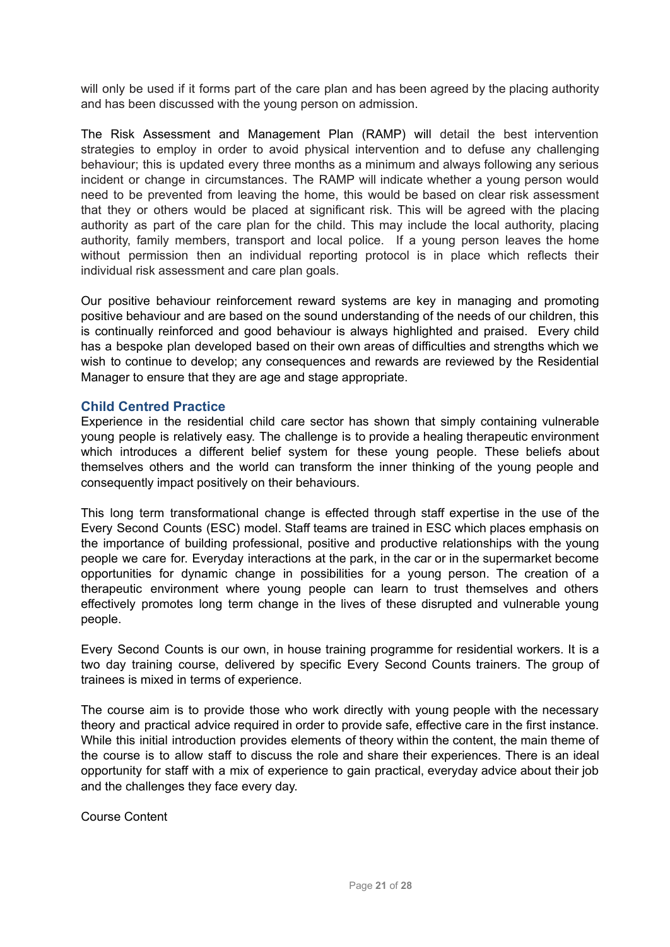will only be used if it forms part of the care plan and has been agreed by the placing authority and has been discussed with the young person on admission.

The Risk Assessment and Management Plan (RAMP) will detail the best intervention strategies to employ in order to avoid physical intervention and to defuse any challenging behaviour; this is updated every three months as a minimum and always following any serious incident or change in circumstances. The RAMP will indicate whether a young person would need to be prevented from leaving the home, this would be based on clear risk assessment that they or others would be placed at significant risk. This will be agreed with the placing authority as part of the care plan for the child. This may include the local authority, placing authority, family members, transport and local police. If a young person leaves the home without permission then an individual reporting protocol is in place which reflects their individual risk assessment and care plan goals.

Our positive behaviour reinforcement reward systems are key in managing and promoting positive behaviour and are based on the sound understanding of the needs of our children, this is continually reinforced and good behaviour is always highlighted and praised. Every child has a bespoke plan developed based on their own areas of difficulties and strengths which we wish to continue to develop; any consequences and rewards are reviewed by the Residential Manager to ensure that they are age and stage appropriate.

## **Child Centred Practice**

Experience in the residential child care sector has shown that simply containing vulnerable young people is relatively easy. The challenge is to provide a healing therapeutic environment which introduces a different belief system for these young people. These beliefs about themselves others and the world can transform the inner thinking of the young people and consequently impact positively on their behaviours.

This long term transformational change is effected through staff expertise in the use of the Every Second Counts (ESC) model. Staff teams are trained in ESC which places emphasis on the importance of building professional, positive and productive relationships with the young people we care for. Everyday interactions at the park, in the car or in the supermarket become opportunities for dynamic change in possibilities for a young person. The creation of a therapeutic environment where young people can learn to trust themselves and others effectively promotes long term change in the lives of these disrupted and vulnerable young people.

Every Second Counts is our own, in house training programme for residential workers. It is a two day training course, delivered by specific Every Second Counts trainers. The group of trainees is mixed in terms of experience.

The course aim is to provide those who work directly with young people with the necessary theory and practical advice required in order to provide safe, effective care in the first instance. While this initial introduction provides elements of theory within the content, the main theme of the course is to allow staff to discuss the role and share their experiences. There is an ideal opportunity for staff with a mix of experience to gain practical, everyday advice about their job and the challenges they face every day.

Course Content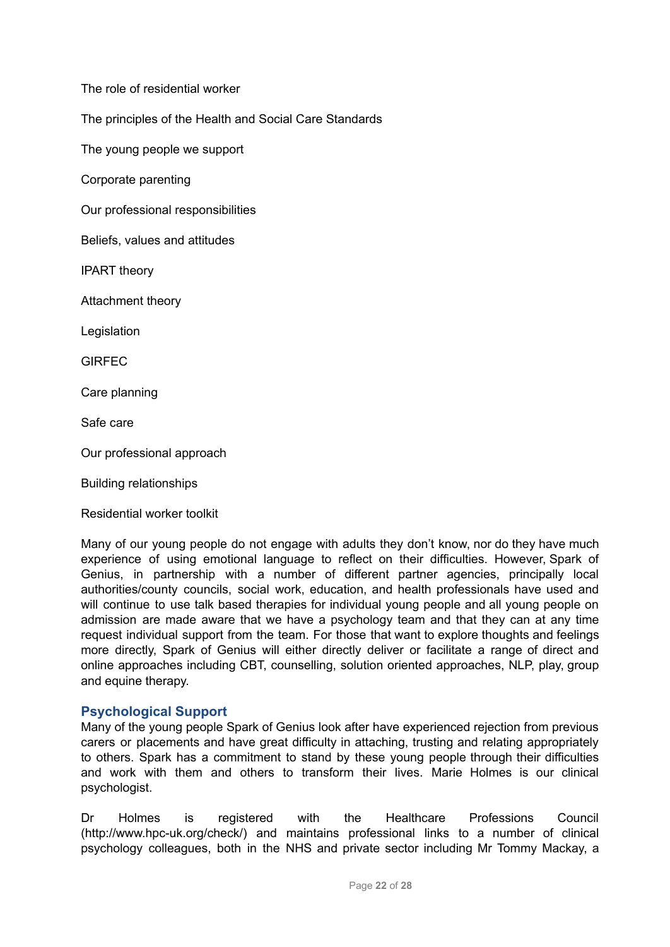The role of residential worker

The principles of the Health and Social Care Standards

The young people we support

Corporate parenting

Our professional responsibilities

Beliefs, values and attitudes

IPART theory

Attachment theory

Legislation

**GIRFFC** 

Care planning

Safe care

Our professional approach

Building relationships

Residential worker toolkit

Many of our young people do not engage with adults they don't know, nor do they have much experience of using emotional language to reflect on their difficulties. However, Spark of Genius, in partnership with a number of different partner agencies, principally local authorities/county councils, social work, education, and health professionals have used and will continue to use talk based therapies for individual young people and all young people on admission are made aware that we have a psychology team and that they can at any time request individual support from the team. For those that want to explore thoughts and feelings more directly, Spark of Genius will either directly deliver or facilitate a range of direct and online approaches including CBT, counselling, solution oriented approaches, NLP, play, group and equine therapy.

## **Psychological Support**

Many of the young people Spark of Genius look after have experienced rejection from previous carers or placements and have great difficulty in attaching, trusting and relating appropriately to others. Spark has a commitment to stand by these young people through their difficulties and work with them and others to transform their lives. Marie Holmes is our clinical psychologist.

Dr Holmes is registered with the Healthcare Professions Council (http://www.hpc-uk.org/check/) and maintains professional links to a number of clinical psychology colleagues, both in the NHS and private sector including Mr Tommy Mackay, a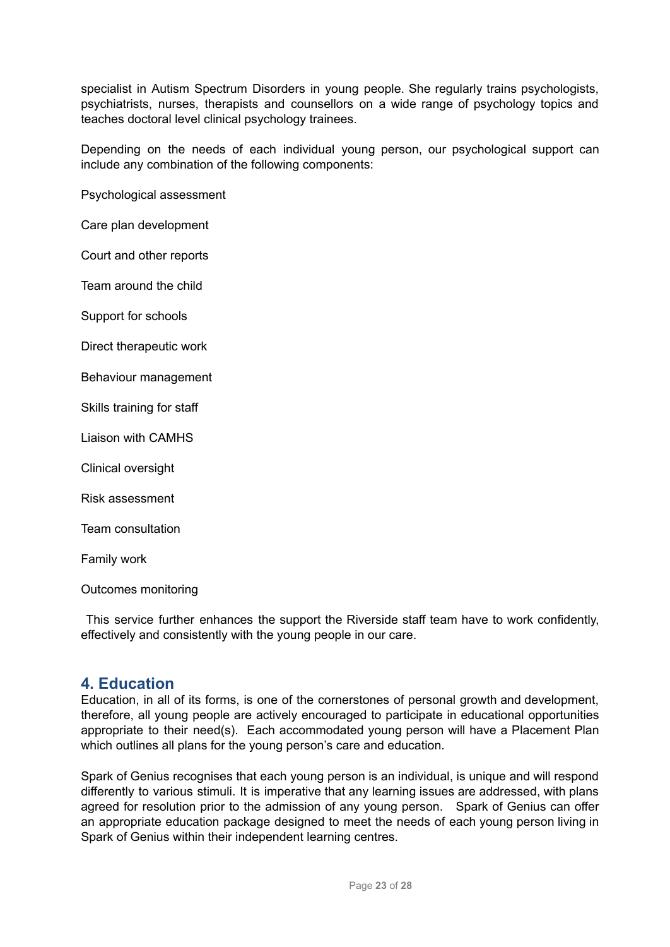specialist in Autism Spectrum Disorders in young people. She regularly trains psychologists, psychiatrists, nurses, therapists and counsellors on a wide range of psychology topics and teaches doctoral level clinical psychology trainees.

Depending on the needs of each individual young person, our psychological support can include any combination of the following components:

Psychological assessment

Care plan development

Court and other reports

Team around the child

Support for schools

Direct therapeutic work

Behaviour management

Skills training for staff

Liaison with CAMHS

Clinical oversight

Risk assessment

Team consultation

Family work

Outcomes monitoring

This service further enhances the support the Riverside staff team have to work confidently, effectively and consistently with the young people in our care.

# **4. Education**

Education, in all of its forms, is one of the cornerstones of personal growth and development, therefore, all young people are actively encouraged to participate in educational opportunities appropriate to their need(s). Each accommodated young person will have a Placement Plan which outlines all plans for the young person's care and education.

Spark of Genius recognises that each young person is an individual, is unique and will respond differently to various stimuli. It is imperative that any learning issues are addressed, with plans agreed for resolution prior to the admission of any young person. Spark of Genius can offer an appropriate education package designed to meet the needs of each young person living in Spark of Genius within their independent learning centres.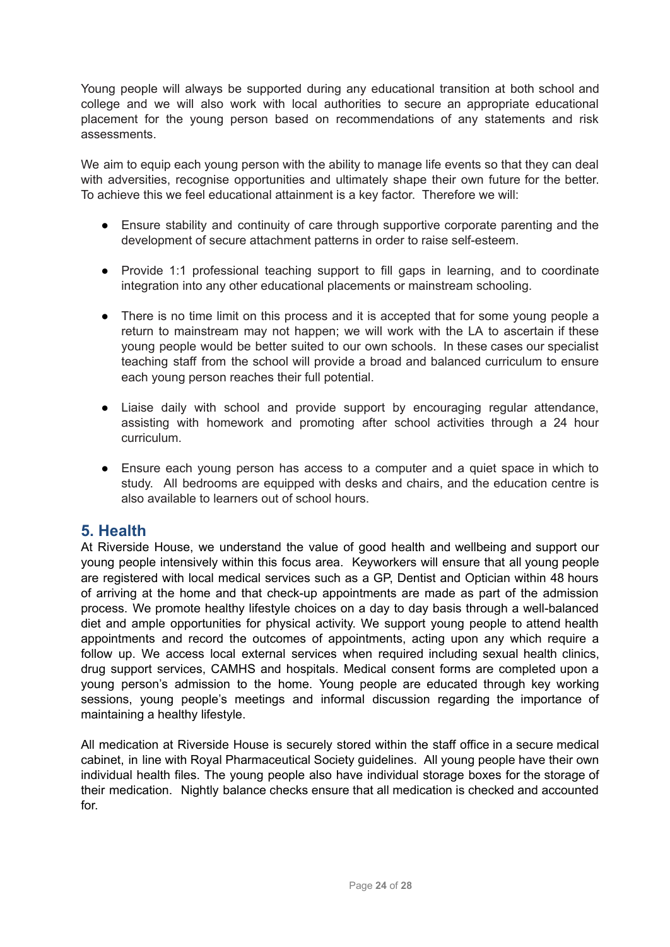Young people will always be supported during any educational transition at both school and college and we will also work with local authorities to secure an appropriate educational placement for the young person based on recommendations of any statements and risk assessments.

We aim to equip each young person with the ability to manage life events so that they can deal with adversities, recognise opportunities and ultimately shape their own future for the better. To achieve this we feel educational attainment is a key factor. Therefore we will:

- Ensure stability and continuity of care through supportive corporate parenting and the development of secure attachment patterns in order to raise self-esteem.
- Provide 1:1 professional teaching support to fill gaps in learning, and to coordinate integration into any other educational placements or mainstream schooling.
- There is no time limit on this process and it is accepted that for some young people a return to mainstream may not happen; we will work with the LA to ascertain if these young people would be better suited to our own schools. In these cases our specialist teaching staff from the school will provide a broad and balanced curriculum to ensure each young person reaches their full potential.
- Liaise daily with school and provide support by encouraging regular attendance, assisting with homework and promoting after school activities through a 24 hour curriculum.
- Ensure each young person has access to a computer and a quiet space in which to study. All bedrooms are equipped with desks and chairs, and the education centre is also available to learners out of school hours.

# **5. Health**

At Riverside House, we understand the value of good health and wellbeing and support our young people intensively within this focus area. Keyworkers will ensure that all young people are registered with local medical services such as a GP, Dentist and Optician within 48 hours of arriving at the home and that check-up appointments are made as part of the admission process. We promote healthy lifestyle choices on a day to day basis through a well-balanced diet and ample opportunities for physical activity. We support young people to attend health appointments and record the outcomes of appointments, acting upon any which require a follow up. We access local external services when required including sexual health clinics, drug support services, CAMHS and hospitals. Medical consent forms are completed upon a young person's admission to the home. Young people are educated through key working sessions, young people's meetings and informal discussion regarding the importance of maintaining a healthy lifestyle.

All medication at Riverside House is securely stored within the staff office in a secure medical cabinet, in line with Royal Pharmaceutical Society guidelines. All young people have their own individual health files. The young people also have individual storage boxes for the storage of their medication. Nightly balance checks ensure that all medication is checked and accounted for.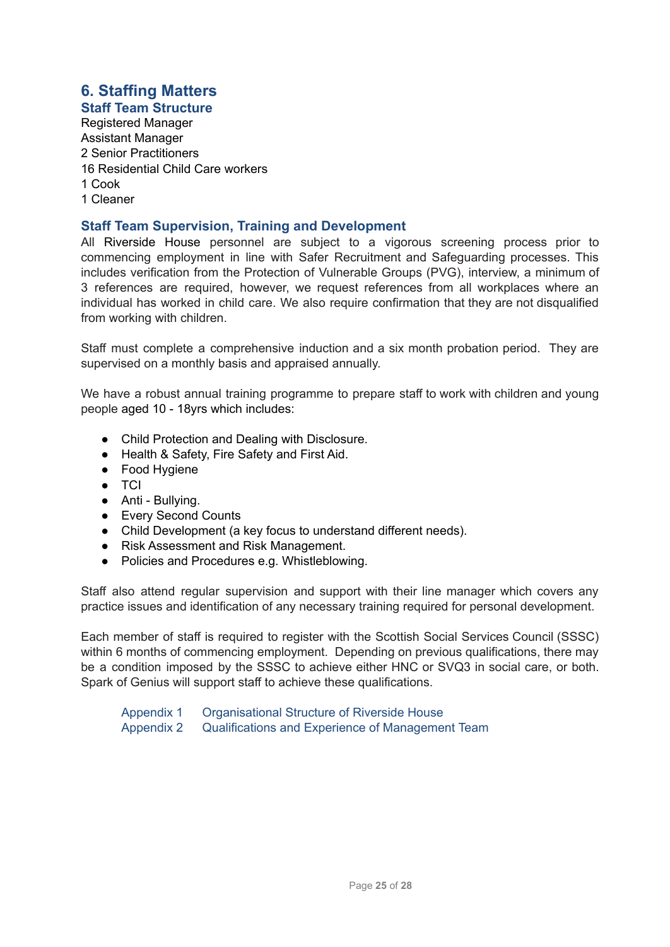# **6. Staffing Matters**

**Staff Team Structure** Registered Manager Assistant Manager 2 Senior Practitioners 16 Residential Child Care workers 1 Cook 1 Cleaner

# **Staff Team Supervision, Training and Development**

All Riverside House personnel are subject to a vigorous screening process prior to commencing employment in line with Safer Recruitment and Safeguarding processes. This includes verification from the Protection of Vulnerable Groups (PVG), interview, a minimum of 3 references are required, however, we request references from all workplaces where an individual has worked in child care. We also require confirmation that they are not disqualified from working with children.

Staff must complete a comprehensive induction and a six month probation period. They are supervised on a monthly basis and appraised annually.

We have a robust annual training programme to prepare staff to work with children and young people aged 10 - 18yrs which includes:

- Child Protection and Dealing with Disclosure.
- Health & Safety, Fire Safety and First Aid.
- Food Hygiene
- TCI
- Anti Bullying.
- Every Second Counts
- Child Development (a key focus to understand different needs).
- Risk Assessment and Risk Management.
- Policies and Procedures e.g. Whistleblowing.

Staff also attend regular supervision and support with their line manager which covers any practice issues and identification of any necessary training required for personal development.

Each member of staff is required to register with the Scottish Social Services Council (SSSC) within 6 months of commencing employment. Depending on previous qualifications, there may be a condition imposed by the SSSC to achieve either HNC or SVQ3 in social care, or both. Spark of Genius will support staff to achieve these qualifications.

Appendix 1 Organisational Structure of Riverside House Appendix 2 Qualifications and Experience of Management Team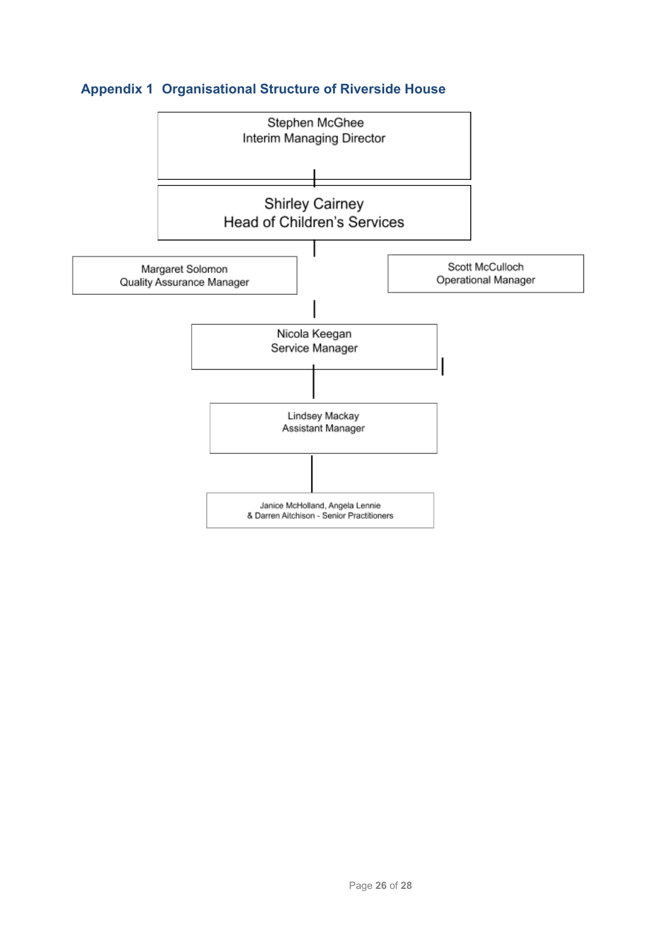# **Appendix 1 Organisational Structure of Riverside House**

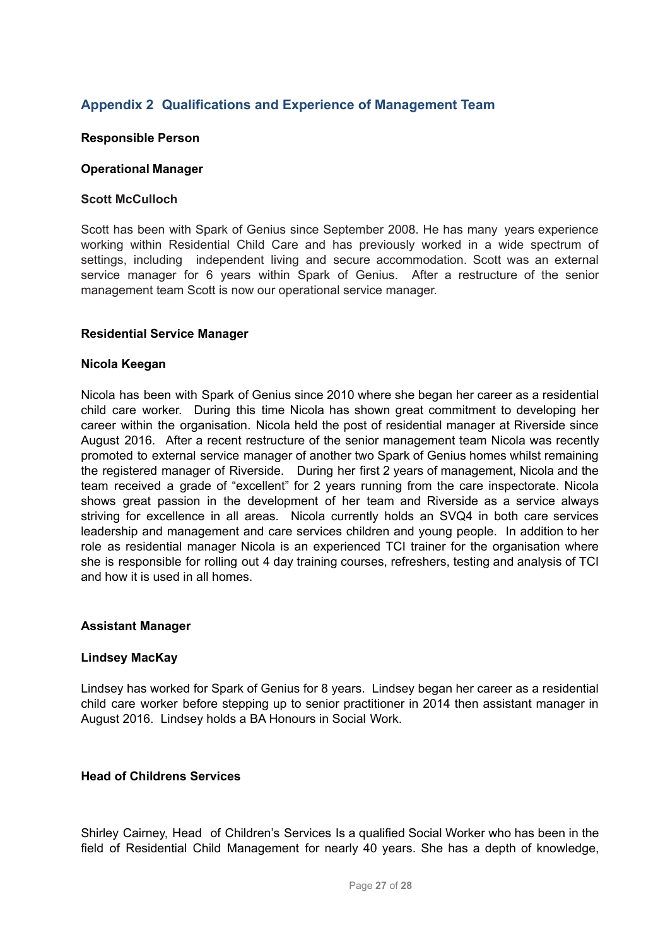# **Appendix 2 Qualifications and Experience of Management Team**

#### **Responsible Person**

#### **Operational Manager**

#### **Scott McCulloch**

Scott has been with Spark of Genius since September 2008. He has many years experience working within Residential Child Care and has previously worked in a wide spectrum of settings, including independent living and secure accommodation. Scott was an external service manager for 6 years within Spark of Genius. After a restructure of the senior management team Scott is now our operational service manager.

#### **Residential Service Manager**

#### **Nicola Keegan**

Nicola has been with Spark of Genius since 2010 where she began her career as a residential child care worker. During this time Nicola has shown great commitment to developing her career within the organisation. Nicola held the post of residential manager at Riverside since August 2016. After a recent restructure of the senior management team Nicola was recently promoted to external service manager of another two Spark of Genius homes whilst remaining the registered manager of Riverside. During her first 2 years of management, Nicola and the team received a grade of "excellent" for 2 years running from the care inspectorate. Nicola shows great passion in the development of her team and Riverside as a service always striving for excellence in all areas. Nicola currently holds an SVQ4 in both care services leadership and management and care services children and young people. In addition to her role as residential manager Nicola is an experienced TCI trainer for the organisation where she is responsible for rolling out 4 day training courses, refreshers, testing and analysis of TCI and how it is used in all homes.

#### **Assistant Manager**

## **Lindsey MacKay**

Lindsey has worked for Spark of Genius for 8 years. Lindsey began her career as a residential child care worker before stepping up to senior practitioner in 2014 then assistant manager in August 2016. Lindsey holds a BA Honours in Social Work.

#### **Head of Childrens Services**

Shirley Cairney, Head of Children's Services Is a qualified Social Worker who has been in the field of Residential Child Management for nearly 40 years. She has a depth of knowledge,